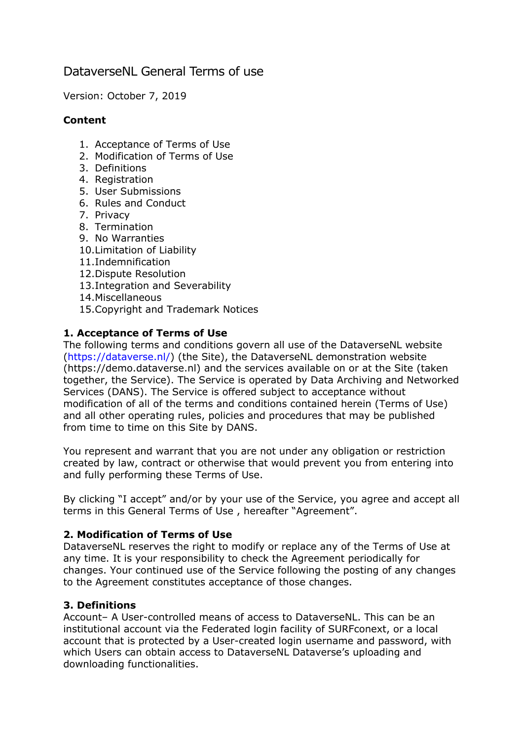# DataverseNL General Terms of use

Version: October 7, 2019

### **Content**

- 1. Acceptance of Terms of Use
- 2. Modification of Terms of Use
- 3. Definitions
- 4. Registration
- 5. User Submissions
- 6. Rules and Conduct
- 7. Privacy
- 8. Termination
- 9. No Warranties
- 10.Limitation of Liability
- 11.Indemnification
- 12.Dispute Resolution
- 13.Integration and Severability
- 14.Miscellaneous
- 15.Copyright and Trademark Notices

# **1. Acceptance of Terms of Use**

The following terms and conditions govern all use of the DataverseNL website (https://dataverse.nl/) (the Site), the DataverseNL demonstration website (https://demo.dataverse.nl) and the services available on or at the Site (taken together, the Service). The Service is operated by Data Archiving and Networked Services (DANS). The Service is offered subject to acceptance without modification of all of the terms and conditions contained herein (Terms of Use) and all other operating rules, policies and procedures that may be published from time to time on this Site by DANS.

You represent and warrant that you are not under any obligation or restriction created by law, contract or otherwise that would prevent you from entering into and fully performing these Terms of Use.

By clicking "I accept" and/or by your use of the Service, you agree and accept all terms in this General Terms of Use , hereafter "Agreement".

### **2. Modification of Terms of Use**

DataverseNL reserves the right to modify or replace any of the Terms of Use at any time. It is your responsibility to check the Agreement periodically for changes. Your continued use of the Service following the posting of any changes to the Agreement constitutes acceptance of those changes.

### **3. Definitions**

Account– A User-controlled means of access to DataverseNL. This can be an institutional account via the Federated login facility of SURFconext, or a local account that is protected by a User-created login username and password, with which Users can obtain access to DataverseNL Dataverse's uploading and downloading functionalities.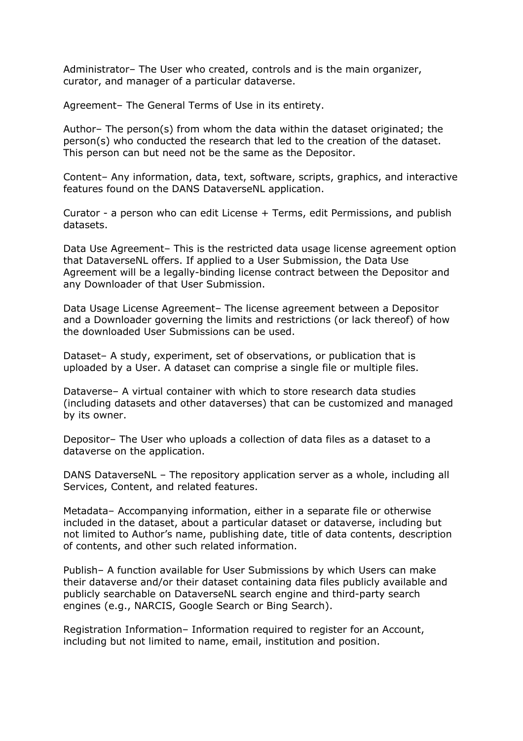Administrator– The User who created, controls and is the main organizer, curator, and manager of a particular dataverse.

Agreement– The General Terms of Use in its entirety.

Author– The person(s) from whom the data within the dataset originated; the person(s) who conducted the research that led to the creation of the dataset. This person can but need not be the same as the Depositor.

Content– Any information, data, text, software, scripts, graphics, and interactive features found on the DANS DataverseNL application.

Curator - a person who can edit License + Terms, edit Permissions, and publish datasets.

Data Use Agreement– This is the restricted data usage license agreement option that DataverseNL offers. If applied to a User Submission, the Data Use Agreement will be a legally-binding license contract between the Depositor and any Downloader of that User Submission.

Data Usage License Agreement– The license agreement between a Depositor and a Downloader governing the limits and restrictions (or lack thereof) of how the downloaded User Submissions can be used.

Dataset– A study, experiment, set of observations, or publication that is uploaded by a User. A dataset can comprise a single file or multiple files.

Dataverse– A virtual container with which to store research data studies (including datasets and other dataverses) that can be customized and managed by its owner.

Depositor– The User who uploads a collection of data files as a dataset to a dataverse on the application.

DANS DataverseNL – The repository application server as a whole, including all Services, Content, and related features.

Metadata– Accompanying information, either in a separate file or otherwise included in the dataset, about a particular dataset or dataverse, including but not limited to Author's name, publishing date, title of data contents, description of contents, and other such related information.

Publish– A function available for User Submissions by which Users can make their dataverse and/or their dataset containing data files publicly available and publicly searchable on DataverseNL search engine and third-party search engines (e.g., NARCIS, Google Search or Bing Search).

Registration Information– Information required to register for an Account, including but not limited to name, email, institution and position.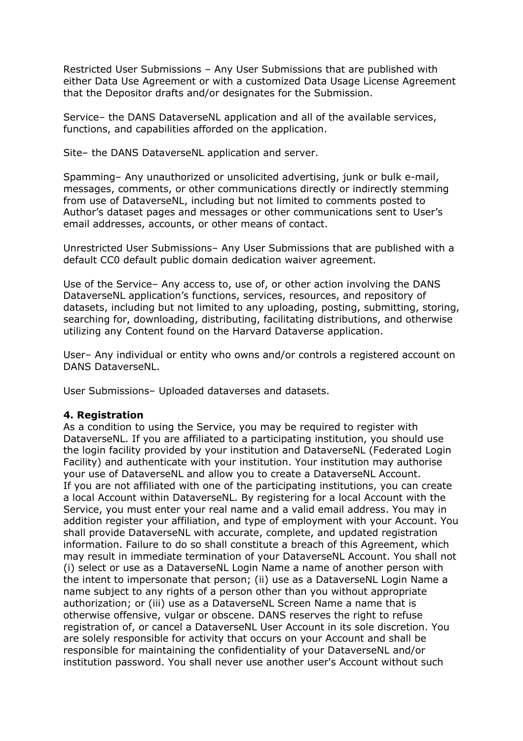Restricted User Submissions – Any User Submissions that are published with either Data Use Agreement or with a customized Data Usage License Agreement that the Depositor drafts and/or designates for the Submission.

Service– the DANS DataverseNL application and all of the available services, functions, and capabilities afforded on the application.

Site– the DANS DataverseNL application and server.

Spamming– Any unauthorized or unsolicited advertising, junk or bulk e-mail, messages, comments, or other communications directly or indirectly stemming from use of DataverseNL, including but not limited to comments posted to Author's dataset pages and messages or other communications sent to User's email addresses, accounts, or other means of contact.

Unrestricted User Submissions– Any User Submissions that are published with a default CC0 default public domain dedication waiver agreement.

Use of the Service– Any access to, use of, or other action involving the DANS DataverseNL application's functions, services, resources, and repository of datasets, including but not limited to any uploading, posting, submitting, storing, searching for, downloading, distributing, facilitating distributions, and otherwise utilizing any Content found on the Harvard Dataverse application.

User– Any individual or entity who owns and/or controls a registered account on DANS DataverseNL.

User Submissions– Uploaded dataverses and datasets.

### **4. Registration**

As a condition to using the Service, you may be required to register with DataverseNL. If you are affiliated to a participating institution, you should use the login facility provided by your institution and DataverseNL (Federated Login Facility) and authenticate with your institution. Your institution may authorise your use of DataverseNL and allow you to create a DataverseNL Account. If you are not affiliated with one of the participating institutions, you can create a local Account within DataverseNL. By registering for a local Account with the Service, you must enter your real name and a valid email address. You may in addition register your affiliation, and type of employment with your Account. You shall provide DataverseNL with accurate, complete, and updated registration information. Failure to do so shall constitute a breach of this Agreement, which may result in immediate termination of your DataverseNL Account. You shall not (i) select or use as a DataverseNL Login Name a name of another person with the intent to impersonate that person; (ii) use as a DataverseNL Login Name a name subject to any rights of a person other than you without appropriate authorization; or (iii) use as a DataverseNL Screen Name a name that is otherwise offensive, vulgar or obscene. DANS reserves the right to refuse registration of, or cancel a DataverseNL User Account in its sole discretion. You are solely responsible for activity that occurs on your Account and shall be responsible for maintaining the confidentiality of your DataverseNL and/or institution password. You shall never use another user's Account without such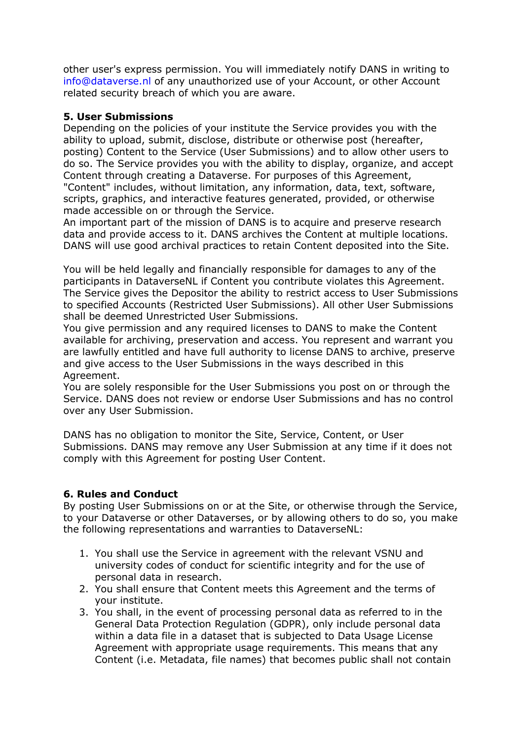other user's express permission. You will immediately notify DANS in writing to info@dataverse.nl of any unauthorized use of your Account, or other Account related security breach of which you are aware.

### **5. User Submissions**

Depending on the policies of your institute the Service provides you with the ability to upload, submit, disclose, distribute or otherwise post (hereafter, posting) Content to the Service (User Submissions) and to allow other users to do so. The Service provides you with the ability to display, organize, and accept Content through creating a Dataverse. For purposes of this Agreement, "Content" includes, without limitation, any information, data, text, software, scripts, graphics, and interactive features generated, provided, or otherwise made accessible on or through the Service.

An important part of the mission of DANS is to acquire and preserve research data and provide access to it. DANS archives the Content at multiple locations. DANS will use good archival practices to retain Content deposited into the Site.

You will be held legally and financially responsible for damages to any of the participants in DataverseNL if Content you contribute violates this Agreement. The Service gives the Depositor the ability to restrict access to User Submissions to specified Accounts (Restricted User Submissions). All other User Submissions shall be deemed Unrestricted User Submissions.

You give permission and any required licenses to DANS to make the Content available for archiving, preservation and access. You represent and warrant you are lawfully entitled and have full authority to license DANS to archive, preserve and give access to the User Submissions in the ways described in this Agreement.

You are solely responsible for the User Submissions you post on or through the Service. DANS does not review or endorse User Submissions and has no control over any User Submission.

DANS has no obligation to monitor the Site, Service, Content, or User Submissions. DANS may remove any User Submission at any time if it does not comply with this Agreement for posting User Content.

### **6. Rules and Conduct**

By posting User Submissions on or at the Site, or otherwise through the Service, to your Dataverse or other Dataverses, or by allowing others to do so, you make the following representations and warranties to DataverseNL:

- 1. You shall use the Service in agreement with the relevant VSNU and university codes of conduct for scientific integrity and for the use of personal data in research.
- 2. You shall ensure that Content meets this Agreement and the terms of your institute.
- 3. You shall, in the event of processing personal data as referred to in the General Data Protection Regulation (GDPR), only include personal data within a data file in a dataset that is subjected to Data Usage License Agreement with appropriate usage requirements. This means that any Content (i.e. Metadata, file names) that becomes public shall not contain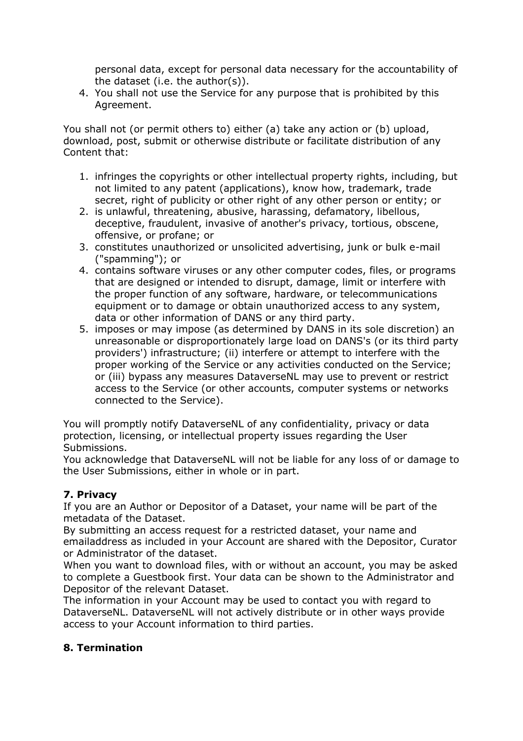personal data, except for personal data necessary for the accountability of the dataset (i.e. the author(s)).

4. You shall not use the Service for any purpose that is prohibited by this Agreement.

You shall not (or permit others to) either (a) take any action or (b) upload, download, post, submit or otherwise distribute or facilitate distribution of any Content that:

- 1. infringes the copyrights or other intellectual property rights, including, but not limited to any patent (applications), know how, trademark, trade secret, right of publicity or other right of any other person or entity; or
- 2. is unlawful, threatening, abusive, harassing, defamatory, libellous, deceptive, fraudulent, invasive of another's privacy, tortious, obscene, offensive, or profane; or
- 3. constitutes unauthorized or unsolicited advertising, junk or bulk e-mail ("spamming"); or
- 4. contains software viruses or any other computer codes, files, or programs that are designed or intended to disrupt, damage, limit or interfere with the proper function of any software, hardware, or telecommunications equipment or to damage or obtain unauthorized access to any system, data or other information of DANS or any third party.
- 5. imposes or may impose (as determined by DANS in its sole discretion) an unreasonable or disproportionately large load on DANS's (or its third party providers') infrastructure; (ii) interfere or attempt to interfere with the proper working of the Service or any activities conducted on the Service; or (iii) bypass any measures DataverseNL may use to prevent or restrict access to the Service (or other accounts, computer systems or networks connected to the Service).

You will promptly notify DataverseNL of any confidentiality, privacy or data protection, licensing, or intellectual property issues regarding the User Submissions.

You acknowledge that DataverseNL will not be liable for any loss of or damage to the User Submissions, either in whole or in part.

# **7. Privacy**

If you are an Author or Depositor of a Dataset, your name will be part of the metadata of the Dataset.

By submitting an access request for a restricted dataset, your name and emailaddress as included in your Account are shared with the Depositor, Curator or Administrator of the dataset.

When you want to download files, with or without an account, you may be asked to complete a Guestbook first. Your data can be shown to the Administrator and Depositor of the relevant Dataset.

The information in your Account may be used to contact you with regard to DataverseNL. DataverseNL will not actively distribute or in other ways provide access to your Account information to third parties.

# **8. Termination**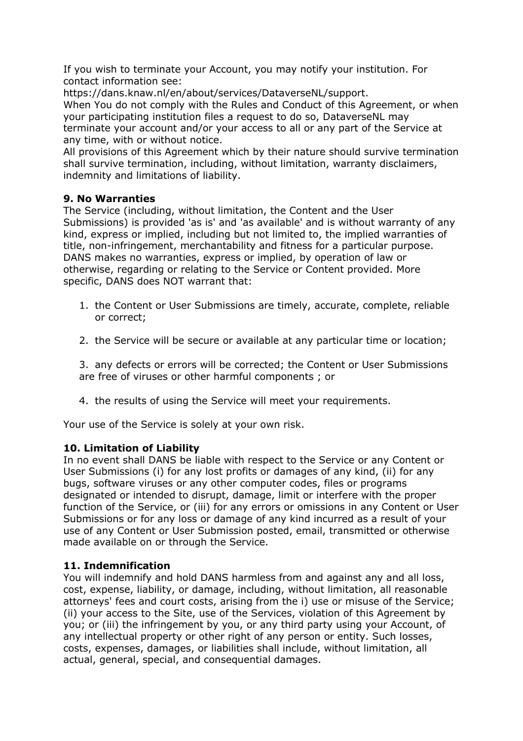If you wish to terminate your Account, you may notify your institution. For contact information see:

https://dans.knaw.nl/en/about/services/DataverseNL/support.

When You do not comply with the Rules and Conduct of this Agreement, or when your participating institution files a request to do so, DataverseNL may terminate your account and/or your access to all or any part of the Service at any time, with or without notice.

All provisions of this Agreement which by their nature should survive termination shall survive termination, including, without limitation, warranty disclaimers, indemnity and limitations of liability.

### **9. No Warranties**

The Service (including, without limitation, the Content and the User Submissions) is provided 'as is' and 'as available' and is without warranty of any kind, express or implied, including but not limited to, the implied warranties of title, non-infringement, merchantability and fitness for a particular purpose. DANS makes no warranties, express or implied, by operation of law or otherwise, regarding or relating to the Service or Content provided. More specific, DANS does NOT warrant that:

- 1. the Content or User Submissions are timely, accurate, complete, reliable or correct;
- 2. the Service will be secure or available at any particular time or location;

3. any defects or errors will be corrected; the Content or User Submissions are free of viruses or other harmful components ; or

4. the results of using the Service will meet your requirements.

Your use of the Service is solely at your own risk.

### **10. Limitation of Liability**

In no event shall DANS be liable with respect to the Service or any Content or User Submissions (i) for any lost profits or damages of any kind, (ii) for any bugs, software viruses or any other computer codes, files or programs designated or intended to disrupt, damage, limit or interfere with the proper function of the Service, or (iii) for any errors or omissions in any Content or User Submissions or for any loss or damage of any kind incurred as a result of your use of any Content or User Submission posted, email, transmitted or otherwise made available on or through the Service.

### **11. Indemnification**

You will indemnify and hold DANS harmless from and against any and all loss, cost, expense, liability, or damage, including, without limitation, all reasonable attorneys' fees and court costs, arising from the i) use or misuse of the Service; (ii) your access to the Site, use of the Services, violation of this Agreement by you; or (iii) the infringement by you, or any third party using your Account, of any intellectual property or other right of any person or entity. Such losses, costs, expenses, damages, or liabilities shall include, without limitation, all actual, general, special, and consequential damages.